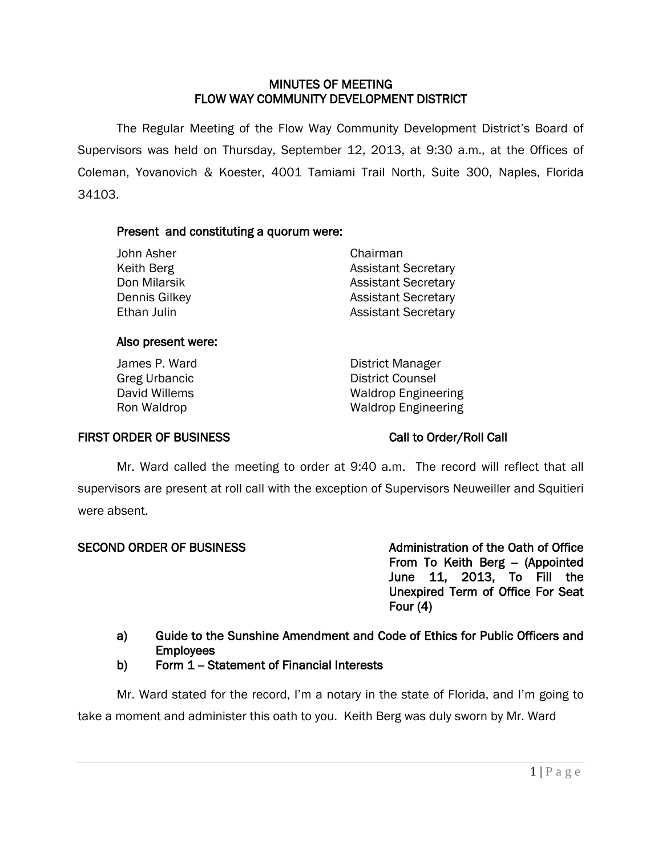### MINUTES OF MEETING FLOW WAY COMMUNITY DEVELOPMENT DISTRICT

 The Regular Meeting of the Flow Way Community Development District's Board of Supervisors was held on Thursday, September 12, 2013, at 9:30 a.m., at the Offices of Coleman, Yovanovich & Koester, 4001 Tamiami Trail North, Suite 300, Naples, Florida 34103.

### Present and constituting a quorum were:

| John Asher    | Chairman                   |
|---------------|----------------------------|
| Keith Berg    | <b>Assistant Secretary</b> |
| Don Milarsik  | <b>Assistant Secretary</b> |
| Dennis Gilkey | <b>Assistant Secretary</b> |
| Ethan Julin   | <b>Assistant Secretary</b> |

### Also present were:

James P. Ward **District Manager** Greg Urbancic and Counsel District Counsel<br>
David Willems and Counsel<br>
David Willems Waldrop Engineering Ron Waldrop Waldrop Engineering

## FIRST ORDER OF BUSINESS Call to Order/Roll Call

Mr. Ward called the meeting to order at 9:40 a.m. The record will reflect that all supervisors are present at roll call with the exception of Supervisors Neuweiller and Squitieri were absent.

SECOND ORDER OF BUSINESS ALL ADMINISTRATION OF the Oath of Office From To Keith Berg - (Appointed June 11, 2013, To Fill the Unexpired Term of Office For Seat Four (4)

## a) Guide to the Sunshine Amendment and Code of Ethics for Public Officers and **Employees**

## b) Form  $1 -$  Statement of Financial Interests

Mr. Ward stated for the record, I'm a notary in the state of Florida, and I'm going to take a moment and administer this oath to you. Keith Berg was duly sworn by Mr. Ward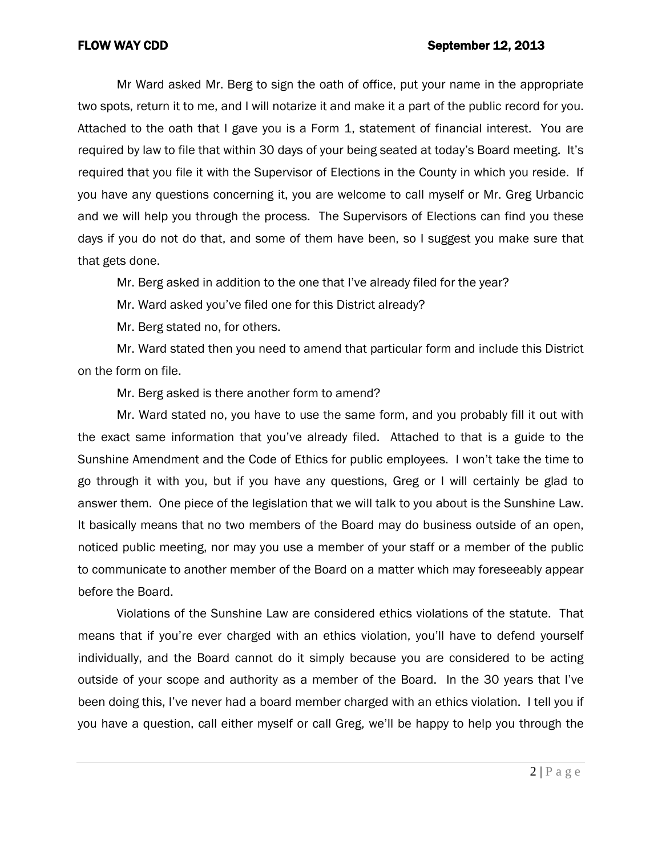### FLOW WAY CDD September 12, 2013

Mr Ward asked Mr. Berg to sign the oath of office, put your name in the appropriate two spots, return it to me, and I will notarize it and make it a part of the public record for you. Attached to the oath that I gave you is a Form 1, statement of financial interest. You are required by law to file that within 30 days of your being seated at today's Board meeting. It's required that you file it with the Supervisor of Elections in the County in which you reside. If you have any questions concerning it, you are welcome to call myself or Mr. Greg Urbancic and we will help you through the process. The Supervisors of Elections can find you these days if you do not do that, and some of them have been, so I suggest you make sure that that gets done.

Mr. Berg asked in addition to the one that I've already filed for the year?

Mr. Ward asked you've filed one for this District already?

Mr. Berg stated no, for others.

Mr. Ward stated then you need to amend that particular form and include this District on the form on file.

Mr. Berg asked is there another form to amend?

Mr. Ward stated no, you have to use the same form, and you probably fill it out with the exact same information that you've already filed. Attached to that is a guide to the Sunshine Amendment and the Code of Ethics for public employees. I won't take the time to go through it with you, but if you have any questions, Greg or I will certainly be glad to answer them. One piece of the legislation that we will talk to you about is the Sunshine Law. It basically means that no two members of the Board may do business outside of an open, noticed public meeting, nor may you use a member of your staff or a member of the public to communicate to another member of the Board on a matter which may foreseeably appear before the Board.

Violations of the Sunshine Law are considered ethics violations of the statute. That means that if you're ever charged with an ethics violation, you'll have to defend yourself individually, and the Board cannot do it simply because you are considered to be acting outside of your scope and authority as a member of the Board. In the 30 years that I've been doing this, I've never had a board member charged with an ethics violation. I tell you if you have a question, call either myself or call Greg, we'll be happy to help you through the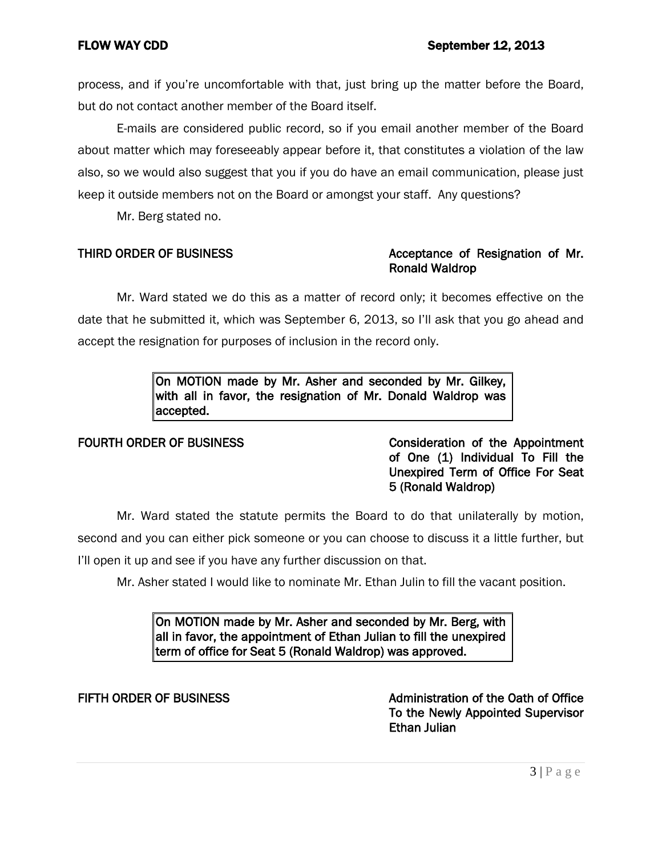process, and if you're uncomfortable with that, just bring up the matter before the Board, but do not contact another member of the Board itself.

E-mails are considered public record, so if you email another member of the Board about matter which may foreseeably appear before it, that constitutes a violation of the law also, so we would also suggest that you if you do have an email communication, please just keep it outside members not on the Board or amongst your staff. Any questions?

Mr. Berg stated no.

## THIRD ORDER OF BUSINESS **Acceptance of Resignation of Mr.** Ronald Waldrop

Mr. Ward stated we do this as a matter of record only; it becomes effective on the date that he submitted it, which was September 6, 2013, so I'll ask that you go ahead and accept the resignation for purposes of inclusion in the record only.

> On MOTION made by Mr. Asher and seconded by Mr. Gilkey, with all in favor, the resignation of Mr. Donald Waldrop was accepted.

FOURTH ORDER OF BUSINESS Consideration of the Appointment of One (1) Individual To Fill the Unexpired Term of Office For Seat 5 (Ronald Waldrop)

Mr. Ward stated the statute permits the Board to do that unilaterally by motion, second and you can either pick someone or you can choose to discuss it a little further, but I'll open it up and see if you have any further discussion on that.

Mr. Asher stated I would like to nominate Mr. Ethan Julin to fill the vacant position.

On MOTION made by Mr. Asher and seconded by Mr. Berg, with all in favor, the appointment of Ethan Julian to fill the unexpired term of office for Seat 5 (Ronald Waldrop) was approved.

FIFTH ORDER OF BUSINESS **All and STATE Administration of the Oath of Office** Administration of the Oath of Office To the Newly Appointed Supervisor Ethan Julian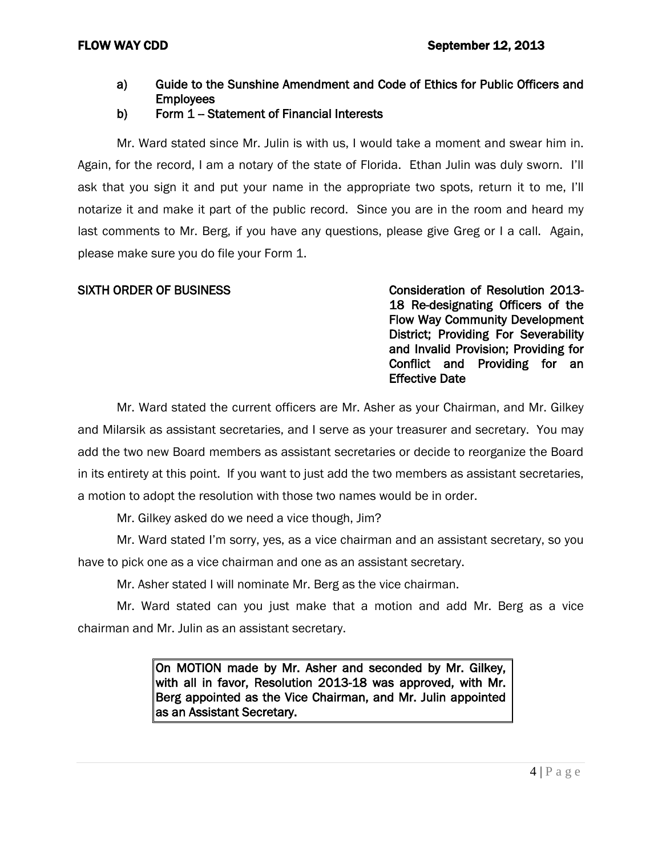- a) Guide to the Sunshine Amendment and Code of Ethics for Public Officers and Employees
- b) Form  $1 -$  Statement of Financial Interests

Mr. Ward stated since Mr. Julin is with us, I would take a moment and swear him in. Again, for the record, I am a notary of the state of Florida. Ethan Julin was duly sworn. I'll ask that you sign it and put your name in the appropriate two spots, return it to me, I'll notarize it and make it part of the public record. Since you are in the room and heard my last comments to Mr. Berg, if you have any questions, please give Greg or I a call. Again, please make sure you do file your Form 1.

SIXTH ORDER OF BUSINESS CONSIDERATION CONSIDERATION OF Resolution 2013-18 Re-designating Officers of the Flow Way Community Development District; Providing For Severability and Invalid Provision; Providing for Conflict and Providing for an Effective Date

Mr. Ward stated the current officers are Mr. Asher as your Chairman, and Mr. Gilkey and Milarsik as assistant secretaries, and I serve as your treasurer and secretary. You may add the two new Board members as assistant secretaries or decide to reorganize the Board in its entirety at this point. If you want to just add the two members as assistant secretaries, a motion to adopt the resolution with those two names would be in order.

Mr. Gilkey asked do we need a vice though, Jim?

Mr. Ward stated I'm sorry, yes, as a vice chairman and an assistant secretary, so you have to pick one as a vice chairman and one as an assistant secretary.

Mr. Asher stated I will nominate Mr. Berg as the vice chairman.

Mr. Ward stated can you just make that a motion and add Mr. Berg as a vice chairman and Mr. Julin as an assistant secretary.

> On MOTION made by Mr. Asher and seconded by Mr. Gilkey, with all in favor, Resolution 2013-18 was approved, with Mr. Berg appointed as the Vice Chairman, and Mr. Julin appointed as an Assistant Secretary.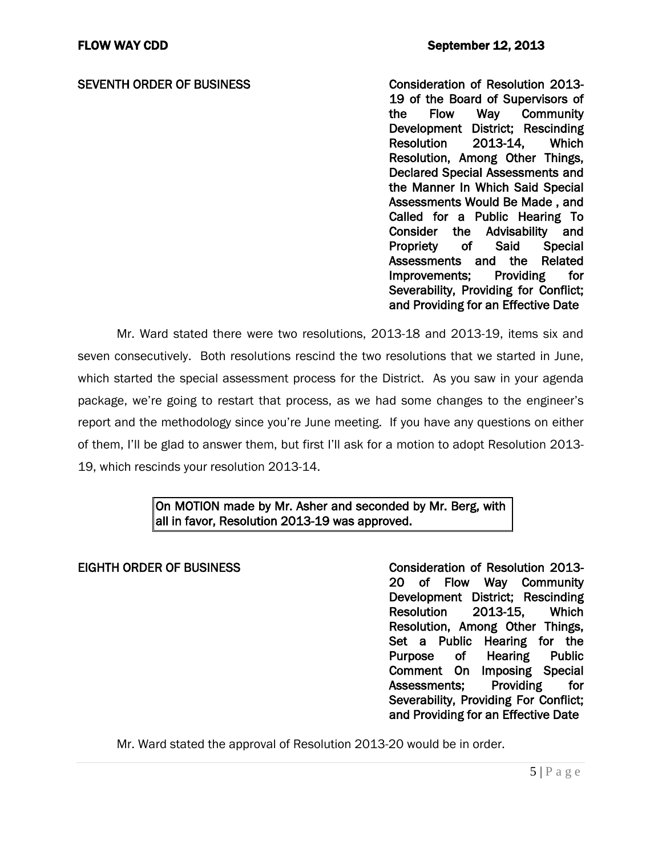SEVENTH ORDER OF BUSINESS Consideration of Resolution 2013-19 of the Board of Supervisors of the Flow Way Community Development District; Rescinding Resolution 2013-14, Which Resolution, Among Other Things, Declared Special Assessments and the Manner In Which Said Special Assessments Would Be Made , and Called for a Public Hearing To Consider the Advisability and Propriety of Said Special Assessments and the Related<br>Improvements: Providing for Improvements: Providing Severability, Providing for Conflict; and Providing for an Effective Date

Mr. Ward stated there were two resolutions, 2013-18 and 2013-19, items six and seven consecutively. Both resolutions rescind the two resolutions that we started in June, which started the special assessment process for the District. As you saw in your agenda package, we're going to restart that process, as we had some changes to the engineer's report and the methodology since you're June meeting. If you have any questions on either of them, I'll be glad to answer them, but first I'll ask for a motion to adopt Resolution 2013- 19, which rescinds your resolution 2013-14.

## On MOTION made by Mr. Asher and seconded by Mr. Berg, with all in favor, Resolution 2013-19 was approved.

EIGHTH ORDER OF BUSINESS Consideration of Resolution 2013- 20 of Flow Way Community Development District; Rescinding Resolution 2013-15, Which Resolution, Among Other Things, Set a Public Hearing for the Purpose of Hearing Public Comment On Imposing Special Assessments; Providing for Severability, Providing For Conflict; and Providing for an Effective Date

Mr. Ward stated the approval of Resolution 2013-20 would be in order.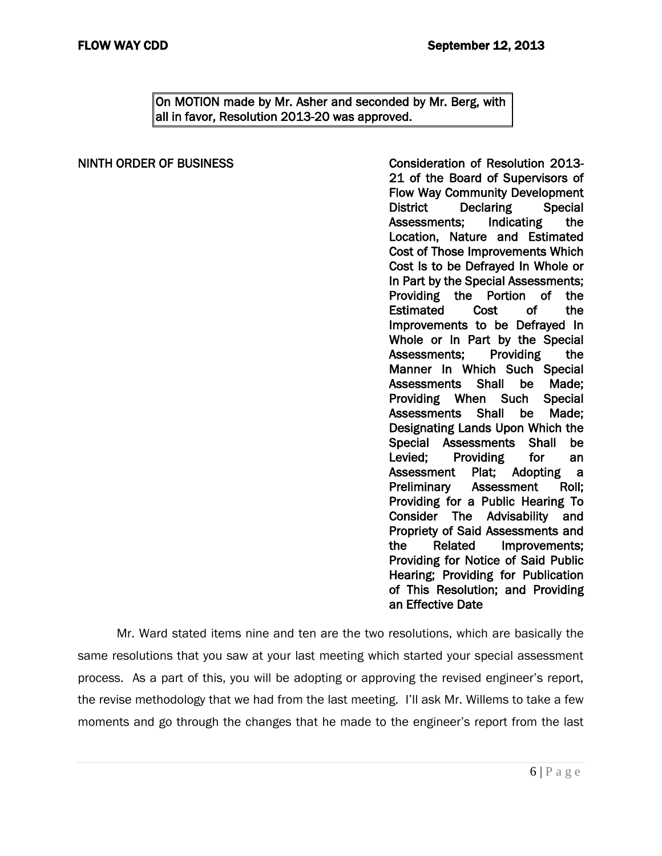On MOTION made by Mr. Asher and seconded by Mr. Berg, with all in favor, Resolution 2013-20 was approved.

NINTH ORDER OF BUSINESS Consideration of Resolution 2013- 21 of the Board of Supervisors of Flow Way Community Development District Declaring Special Assessments; Indicating the Location, Nature and Estimated Cost of Those Improvements Which Cost Is to be Defrayed In Whole or In Part by the Special Assessments; Providing the Portion of the Estimated Cost of the Improvements to be Defrayed In Whole or In Part by the Special Assessments; Providing the Manner In Which Such Special Assessments Shall be Made; Providing When Such Special Assessments Shall be Made; Designating Lands Upon Which the Special Assessments Shall be Levied; Providing for an Assessment Plat; Adopting a Preliminary Assessment Roll; Providing for a Public Hearing To Consider The Advisability and Propriety of Said Assessments and the Related Improvements; Providing for Notice of Said Public Hearing; Providing for Publication of This Resolution; and Providing an Effective Date

Mr. Ward stated items nine and ten are the two resolutions, which are basically the same resolutions that you saw at your last meeting which started your special assessment process. As a part of this, you will be adopting or approving the revised engineer's report, the revise methodology that we had from the last meeting. I'll ask Mr. Willems to take a few moments and go through the changes that he made to the engineer's report from the last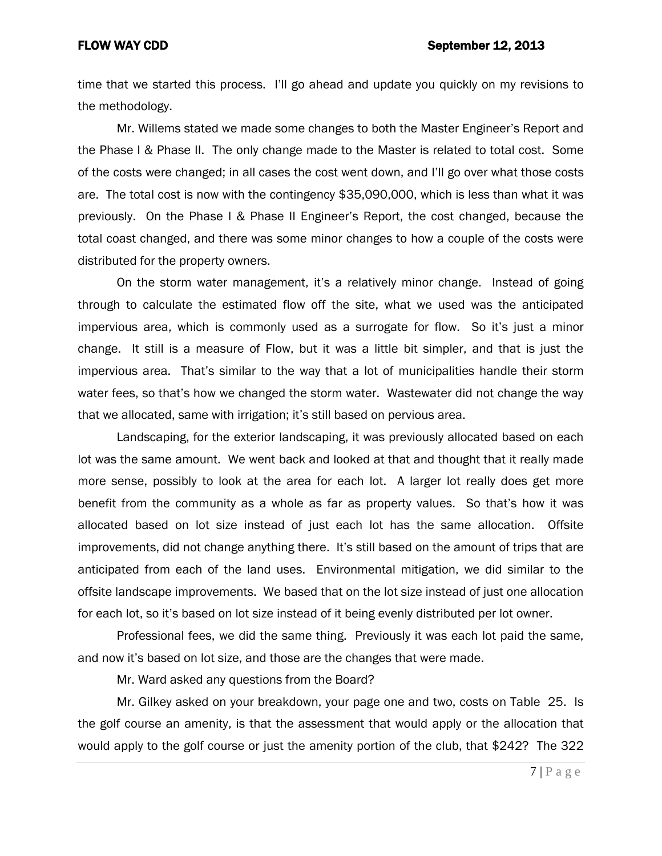time that we started this process. I'll go ahead and update you quickly on my revisions to the methodology.

Mr. Willems stated we made some changes to both the Master Engineer's Report and the Phase I & Phase II. The only change made to the Master is related to total cost. Some of the costs were changed; in all cases the cost went down, and I'll go over what those costs are. The total cost is now with the contingency \$35,090,000, which is less than what it was previously. On the Phase I & Phase II Engineer's Report, the cost changed, because the total coast changed, and there was some minor changes to how a couple of the costs were distributed for the property owners.

On the storm water management, it's a relatively minor change. Instead of going through to calculate the estimated flow off the site, what we used was the anticipated impervious area, which is commonly used as a surrogate for flow. So it's just a minor change. It still is a measure of Flow, but it was a little bit simpler, and that is just the impervious area. That's similar to the way that a lot of municipalities handle their storm water fees, so that's how we changed the storm water. Wastewater did not change the way that we allocated, same with irrigation; it's still based on pervious area.

Landscaping, for the exterior landscaping, it was previously allocated based on each lot was the same amount. We went back and looked at that and thought that it really made more sense, possibly to look at the area for each lot. A larger lot really does get more benefit from the community as a whole as far as property values. So that's how it was allocated based on lot size instead of just each lot has the same allocation. Offsite improvements, did not change anything there. It's still based on the amount of trips that are anticipated from each of the land uses. Environmental mitigation, we did similar to the offsite landscape improvements. We based that on the lot size instead of just one allocation for each lot, so it's based on lot size instead of it being evenly distributed per lot owner.

Professional fees, we did the same thing. Previously it was each lot paid the same, and now it's based on lot size, and those are the changes that were made.

Mr. Ward asked any questions from the Board?

Mr. Gilkey asked on your breakdown, your page one and two, costs on Table 25. Is the golf course an amenity, is that the assessment that would apply or the allocation that would apply to the golf course or just the amenity portion of the club, that \$242? The 322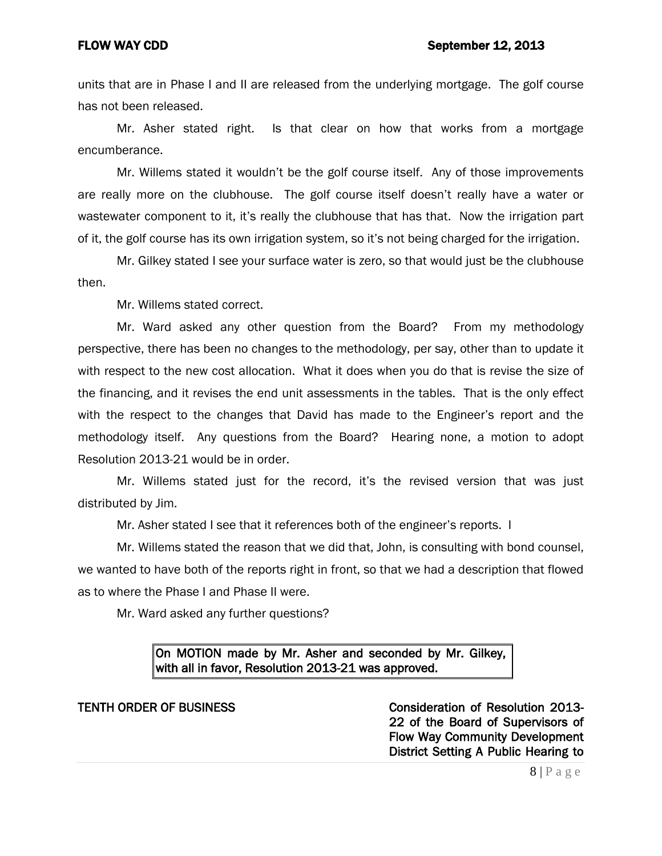units that are in Phase I and II are released from the underlying mortgage. The golf course has not been released.

Mr. Asher stated right. Is that clear on how that works from a mortgage encumberance.

Mr. Willems stated it wouldn't be the golf course itself. Any of those improvements are really more on the clubhouse. The golf course itself doesn't really have a water or wastewater component to it, it's really the clubhouse that has that. Now the irrigation part of it, the golf course has its own irrigation system, so it's not being charged for the irrigation.

Mr. Gilkey stated I see your surface water is zero, so that would just be the clubhouse then.

Mr. Willems stated correct.

Mr. Ward asked any other question from the Board? From my methodology perspective, there has been no changes to the methodology, per say, other than to update it with respect to the new cost allocation. What it does when you do that is revise the size of the financing, and it revises the end unit assessments in the tables. That is the only effect with the respect to the changes that David has made to the Engineer's report and the methodology itself. Any questions from the Board? Hearing none, a motion to adopt Resolution 2013-21 would be in order.

Mr. Willems stated just for the record, it's the revised version that was just distributed by Jim.

Mr. Asher stated I see that it references both of the engineer's reports. I

Mr. Willems stated the reason that we did that, John, is consulting with bond counsel, we wanted to have both of the reports right in front, so that we had a description that flowed as to where the Phase I and Phase II were.

Mr. Ward asked any further questions?

## On MOTION made by Mr. Asher and seconded by Mr. Gilkey, with all in favor, Resolution 2013-21 was approved.

TENTH ORDER OF BUSINESS **Consideration of Resolution 2013-**22 of the Board of Supervisors of Flow Way Community Development District Setting A Public Hearing to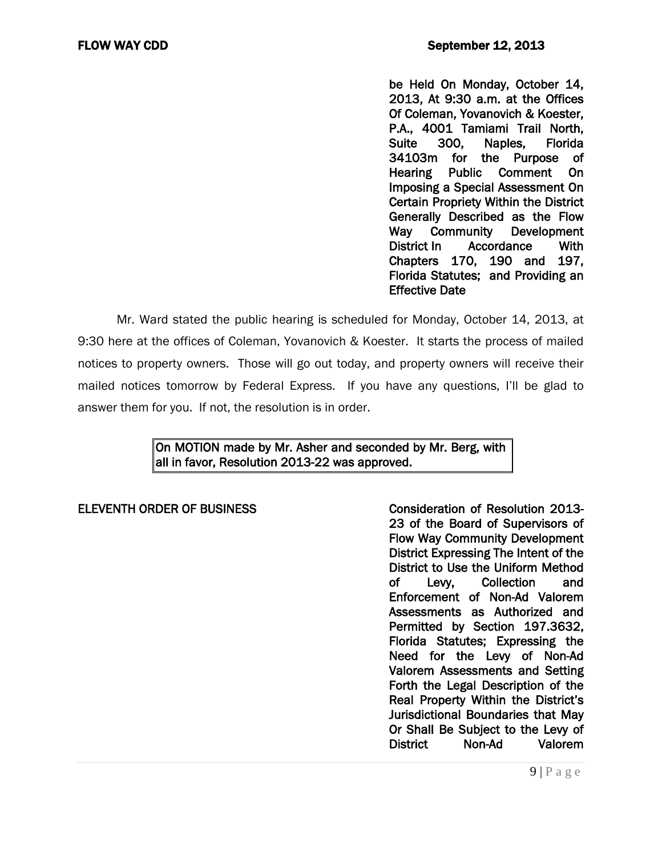be Held On Monday, October 14, 2013, At 9:30 a.m. at the Offices Of Coleman, Yovanovich & Koester, P.A., 4001 Tamiami Trail North, Suite 300, Naples, Florida 34103m for the Purpose of Hearing Public Comment On Imposing a Special Assessment On Certain Propriety Within the District Generally Described as the Flow Way Community Development District In Accordance With Chapters 170, 190 and 197, Florida Statutes; and Providing an Effective Date

Mr. Ward stated the public hearing is scheduled for Monday, October 14, 2013, at 9:30 here at the offices of Coleman, Yovanovich & Koester. It starts the process of mailed notices to property owners. Those will go out today, and property owners will receive their mailed notices tomorrow by Federal Express. If you have any questions, I'll be glad to answer them for you. If not, the resolution is in order.

## On MOTION made by Mr. Asher and seconded by Mr. Berg, with all in favor, Resolution 2013-22 was approved.

ELEVENTH ORDER OF BUSINESS Consideration of Resolution 2013- 23 of the Board of Supervisors of Flow Way Community Development District Expressing The Intent of the District to Use the Uniform Method of Levy, Collection and Enforcement of Non-Ad Valorem Assessments as Authorized and Permitted by Section 197.3632, Florida Statutes; Expressing the Need for the Levy of Non-Ad Valorem Assessments and Setting Forth the Legal Description of the Real Property Within the District's Jurisdictional Boundaries that May Or Shall Be Subject to the Levy of<br>District Mon-Ad Valorem District Non-Ad Valorem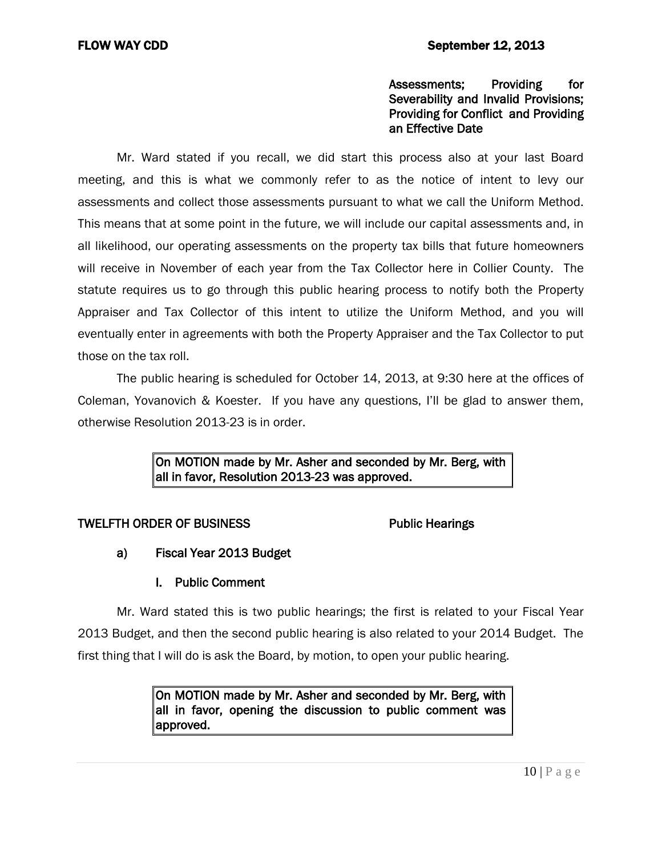### Assessments; Providing for Severability and Invalid Provisions; Providing for Conflict and Providing an Effective Date

Mr. Ward stated if you recall, we did start this process also at your last Board meeting, and this is what we commonly refer to as the notice of intent to levy our assessments and collect those assessments pursuant to what we call the Uniform Method. This means that at some point in the future, we will include our capital assessments and, in all likelihood, our operating assessments on the property tax bills that future homeowners will receive in November of each year from the Tax Collector here in Collier County. The statute requires us to go through this public hearing process to notify both the Property Appraiser and Tax Collector of this intent to utilize the Uniform Method, and you will eventually enter in agreements with both the Property Appraiser and the Tax Collector to put those on the tax roll.

The public hearing is scheduled for October 14, 2013, at 9:30 here at the offices of Coleman, Yovanovich & Koester. If you have any questions, I'll be glad to answer them, otherwise Resolution 2013-23 is in order.

> On MOTION made by Mr. Asher and seconded by Mr. Berg, with all in favor, Resolution 2013-23 was approved.

### TWELFTH ORDER OF BUSINESS Public Hearings

a) Fiscal Year 2013 Budget

## I. Public Comment

Mr. Ward stated this is two public hearings; the first is related to your Fiscal Year 2013 Budget, and then the second public hearing is also related to your 2014 Budget. The first thing that I will do is ask the Board, by motion, to open your public hearing.

> On MOTION made by Mr. Asher and seconded by Mr. Berg, with all in favor, opening the discussion to public comment was approved.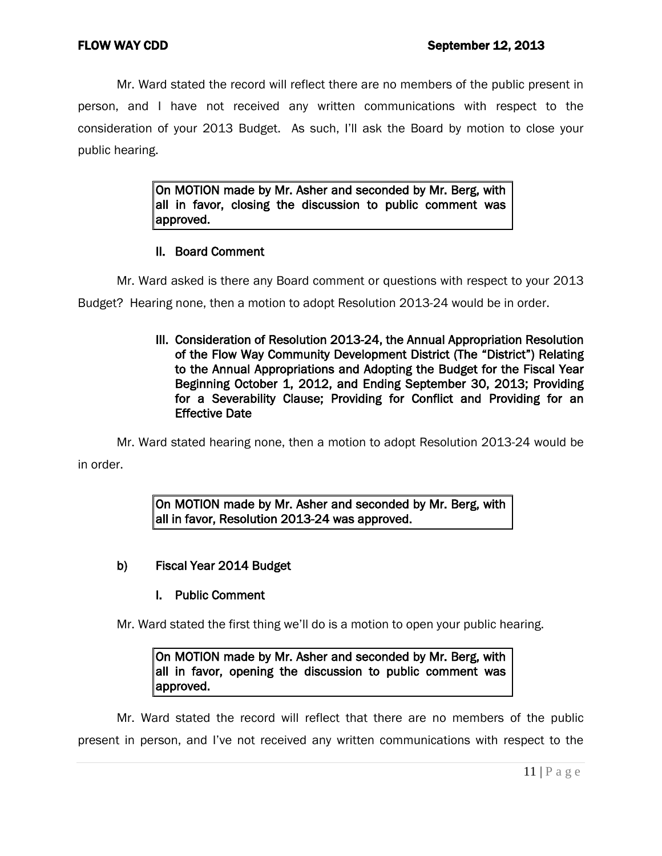Mr. Ward stated the record will reflect there are no members of the public present in person, and I have not received any written communications with respect to the consideration of your 2013 Budget. As such, I'll ask the Board by motion to close your public hearing.

> On MOTION made by Mr. Asher and seconded by Mr. Berg, with all in favor, closing the discussion to public comment was approved.

### II. Board Comment

Mr. Ward asked is there any Board comment or questions with respect to your 2013

Budget? Hearing none, then a motion to adopt Resolution 2013-24 would be in order.

 III. Consideration of Resolution 2013-24, the Annual Appropriation Resolution of the Flow Way Community Development District (The "District") Relating to the Annual Appropriations and Adopting the Budget for the Fiscal Year Beginning October 1, 2012, and Ending September 30, 2013; Providing for a Severability Clause; Providing for Conflict and Providing for an Effective Date

Mr. Ward stated hearing none, then a motion to adopt Resolution 2013-24 would be in order.

> On MOTION made by Mr. Asher and seconded by Mr. Berg, with all in favor, Resolution 2013-24 was approved.

### b) Fiscal Year 2014 Budget

### I. Public Comment

Mr. Ward stated the first thing we'll do is a motion to open your public hearing.

On MOTION made by Mr. Asher and seconded by Mr. Berg, with all in favor, opening the discussion to public comment was approved.

Mr. Ward stated the record will reflect that there are no members of the public present in person, and I've not received any written communications with respect to the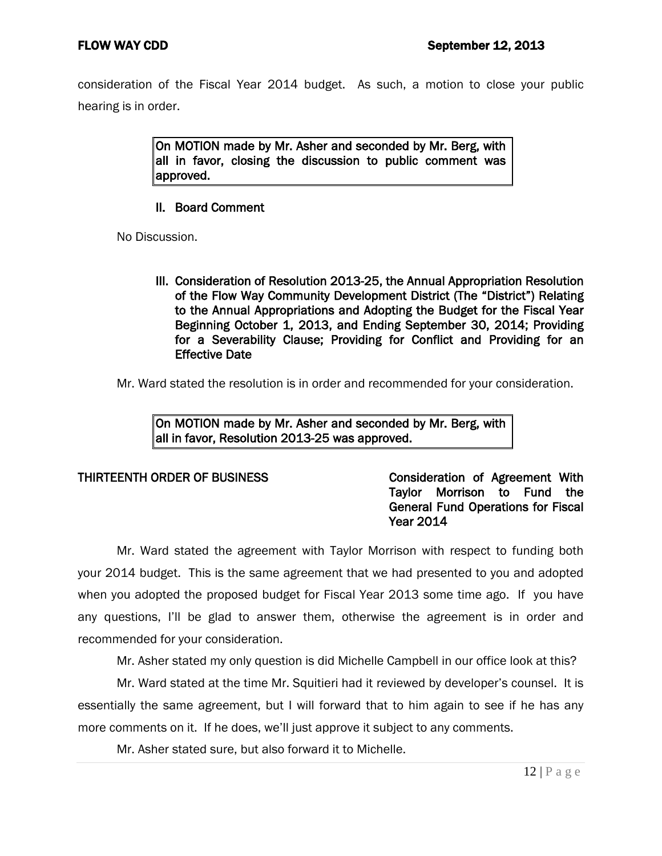consideration of the Fiscal Year 2014 budget. As such, a motion to close your public hearing is in order.

> On MOTION made by Mr. Asher and seconded by Mr. Berg, with all in favor, closing the discussion to public comment was approved.

## II. Board Comment

No Discussion.

 III. Consideration of Resolution 2013-25, the Annual Appropriation Resolution of the Flow Way Community Development District (The "District") Relating to the Annual Appropriations and Adopting the Budget for the Fiscal Year Beginning October 1, 2013, and Ending September 30, 2014; Providing for a Severability Clause; Providing for Conflict and Providing for an Effective Date

Mr. Ward stated the resolution is in order and recommended for your consideration.

On MOTION made by Mr. Asher and seconded by Mr. Berg, with all in favor, Resolution 2013-25 was approved.

## THIRTEENTH ORDER OF BUSINESS Consideration of Agreement With Taylor Morrison to Fund the General Fund Operations for Fiscal Year 2014

Mr. Ward stated the agreement with Taylor Morrison with respect to funding both your 2014 budget. This is the same agreement that we had presented to you and adopted when you adopted the proposed budget for Fiscal Year 2013 some time ago. If you have any questions, I'll be glad to answer them, otherwise the agreement is in order and recommended for your consideration.

Mr. Asher stated my only question is did Michelle Campbell in our office look at this?

Mr. Ward stated at the time Mr. Squitieri had it reviewed by developer's counsel. It is essentially the same agreement, but I will forward that to him again to see if he has any more comments on it. If he does, we'll just approve it subject to any comments.

Mr. Asher stated sure, but also forward it to Michelle.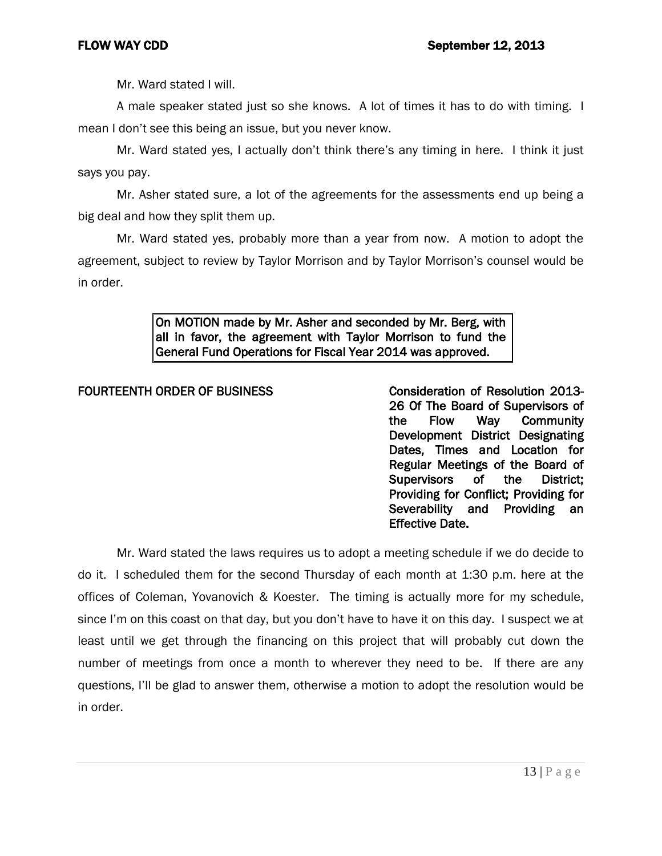Mr. Ward stated I will.

A male speaker stated just so she knows. A lot of times it has to do with timing. I mean I don't see this being an issue, but you never know.

Mr. Ward stated yes, I actually don't think there's any timing in here. I think it just says you pay.

Mr. Asher stated sure, a lot of the agreements for the assessments end up being a big deal and how they split them up.

Mr. Ward stated yes, probably more than a year from now. A motion to adopt the agreement, subject to review by Taylor Morrison and by Taylor Morrison's counsel would be in order.

> On MOTION made by Mr. Asher and seconded by Mr. Berg, with all in favor, the agreement with Taylor Morrison to fund the General Fund Operations for Fiscal Year 2014 was approved.

## FOURTEENTH ORDER OF BUSINESS Consideration of Resolution 2013-

26 Of The Board of Supervisors of the Flow Way Community Development District Designating Dates, Times and Location for Regular Meetings of the Board of Supervisors of the District; Providing for Conflict; Providing for Severability and Providing an Effective Date.

Mr. Ward stated the laws requires us to adopt a meeting schedule if we do decide to do it. I scheduled them for the second Thursday of each month at 1:30 p.m. here at the offices of Coleman, Yovanovich & Koester. The timing is actually more for my schedule, since I'm on this coast on that day, but you don't have to have it on this day. I suspect we at least until we get through the financing on this project that will probably cut down the number of meetings from once a month to wherever they need to be. If there are any questions, I'll be glad to answer them, otherwise a motion to adopt the resolution would be in order.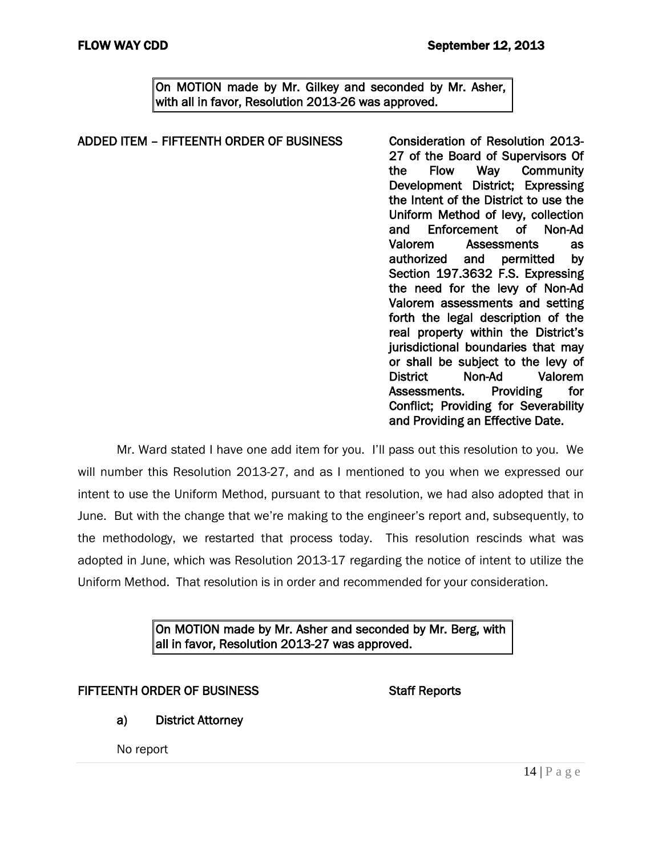On MOTION made by Mr. Gilkey and seconded by Mr. Asher, with all in favor, Resolution 2013-26 was approved.

### ADDED ITEM - FIFTEENTH ORDER OF BUSINESS Consideration of Resolution 2013-27 of the Board of Supervisors Of the Flow Way Community Development District; Expressing the Intent of the District to use the Uniform Method of levy, collection and Enforcement of Non-Ad Valorem Assessments as authorized and permitted by Section 197.3632 F.S. Expressing the need for the levy of Non-Ad Valorem assessments and setting forth the legal description of the real property within the District's jurisdictional boundaries that may or shall be subject to the levy of District Non-Ad Valorem Assessments. Providing for Conflict; Providing for Severability and Providing an Effective Date.

Mr. Ward stated I have one add item for you. I'll pass out this resolution to you. We will number this Resolution 2013-27, and as I mentioned to you when we expressed our intent to use the Uniform Method, pursuant to that resolution, we had also adopted that in June. But with the change that we're making to the engineer's report and, subsequently, to the methodology, we restarted that process today. This resolution rescinds what was adopted in June, which was Resolution 2013-17 regarding the notice of intent to utilize the Uniform Method. That resolution is in order and recommended for your consideration.

## On MOTION made by Mr. Asher and seconded by Mr. Berg, with all in favor, Resolution 2013-27 was approved.

## FIFTEENTH ORDER OF BUSINESS STATES STAFF Reports

a) District Attorney

No report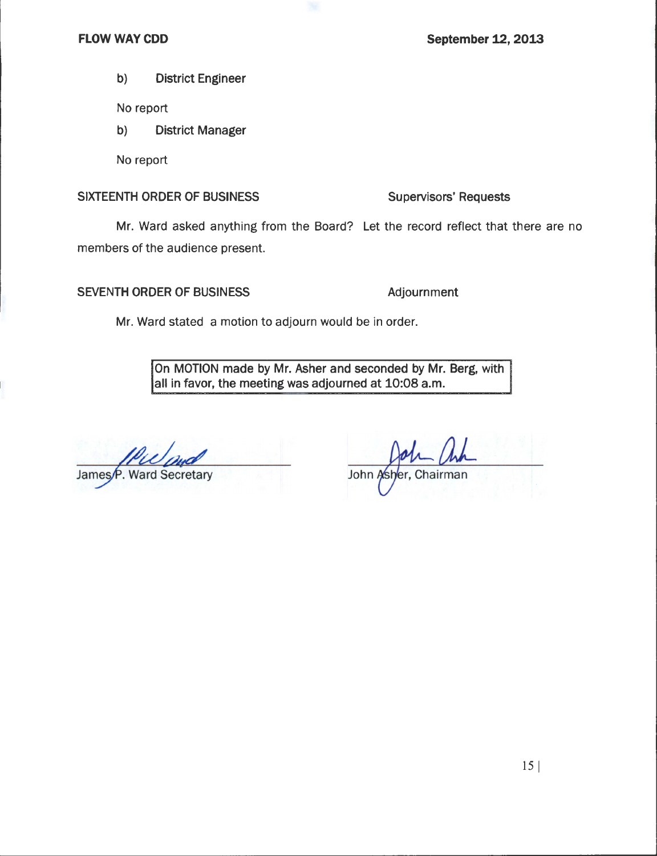### **FLOW WAY CDD**

**September 12, 2013** 

 $b)$ **District Engineer** 

No report

 $b)$ **District Manager** 

No report

### SIXTEENTH ORDER OF BUSINESS

### **Supervisors' Requests**

Mr. Ward asked anything from the Board? Let the record reflect that there are no members of the audience present.

### SEVENTH ORDER OF BUSINESS

Adjournment

Mr. Ward stated a motion to adjourn would be in order.

On MOTION made by Mr. Asher and seconded by Mr. Berg, with all in favor, the meeting was adjourned at 10:08 a.m.

James<sub>/P.</sub> Ward Secretary

Chairman John Asher.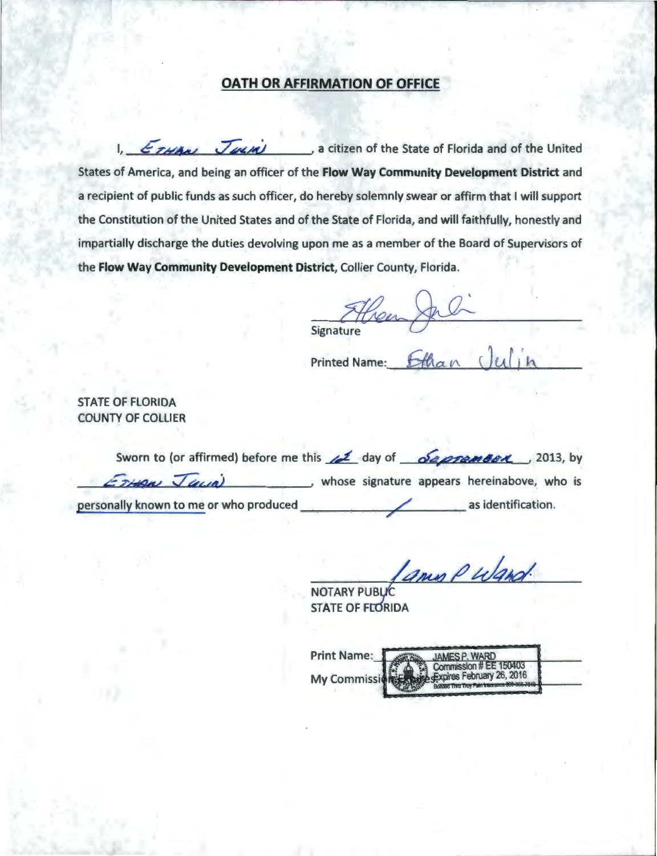# **OATH OR AFFIRMATION OF OFFICE**

1. ETHAN JULIA a citizen of the State of Florida and of the United States of America, and being an officer of the Flow Way Community Development District and a recipient of public funds as such officer, do hereby solemnly swear or affirm that I will support the Constitution of the United States and of the State of Florida, and will faithfully, honestly and impartially discharge the duties devolving upon me as a member of the Board of Supervisors of the Flow Way Community Development District, Collier County, Florida.

Hen Signature

**Printed Name:** 

**STATE OF FLORIDA COUNTY OF COLLIER** 

| Sworn to (or affirmed) before me this $\angle$ day of $\triangle$ <i>deprement</i> (2013, by |  |  |  |                                             |  |
|----------------------------------------------------------------------------------------------|--|--|--|---------------------------------------------|--|
| ErHan Jana                                                                                   |  |  |  | whose signature appears hereinabove, who is |  |
| personally known to me or who produced                                                       |  |  |  | as identification.                          |  |

Iamis Puland.

**NOTARY PUBLIC STATE OF FLORIDA** 

**Print Name: JAMES P. WARD** 150403 Commiss coires February 26, 2016 **My Commissi**